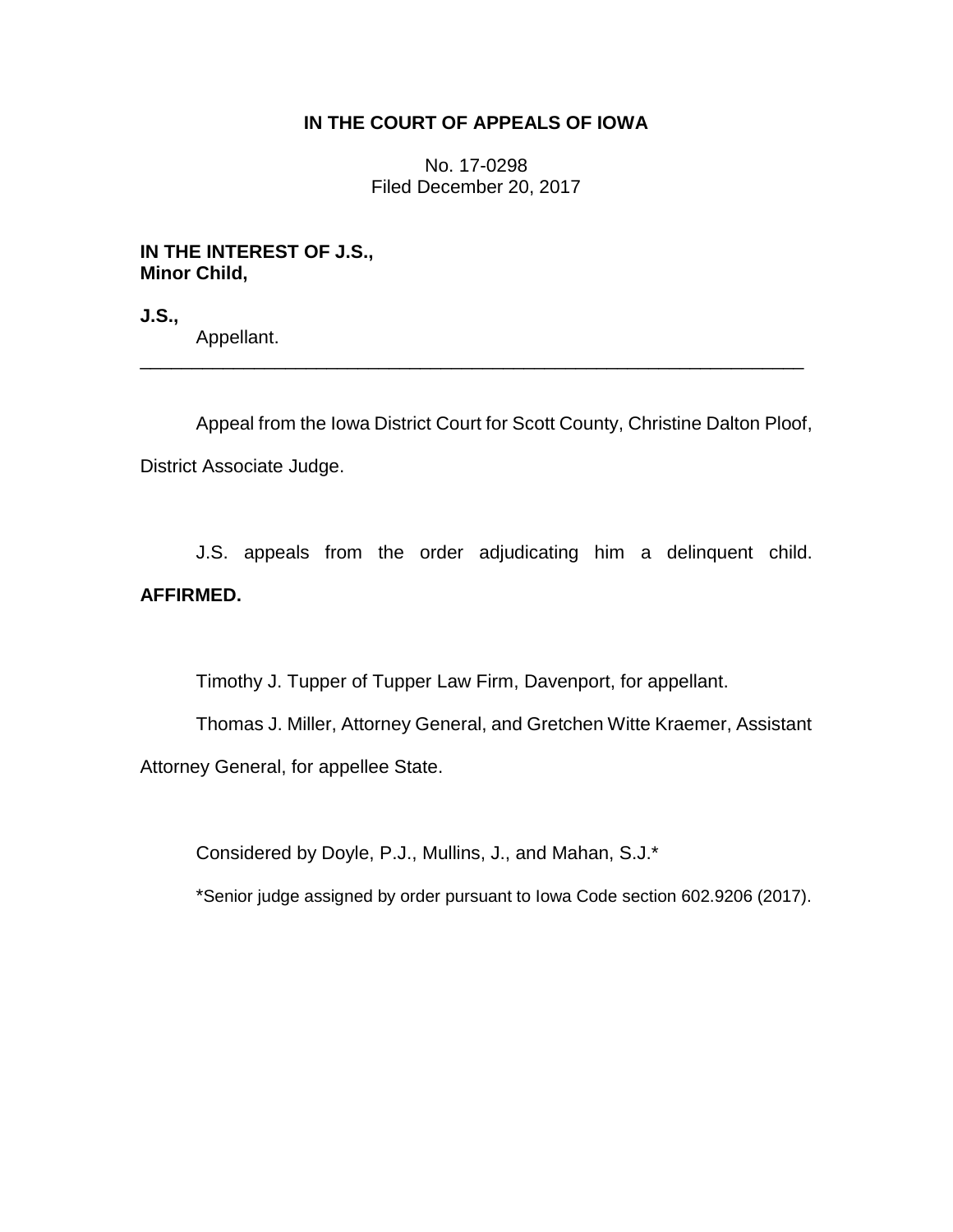# **IN THE COURT OF APPEALS OF IOWA**

No. 17-0298 Filed December 20, 2017

## **IN THE INTEREST OF J.S., Minor Child,**

**J.S.,**

Appellant.

Appeal from the Iowa District Court for Scott County, Christine Dalton Ploof, District Associate Judge.

\_\_\_\_\_\_\_\_\_\_\_\_\_\_\_\_\_\_\_\_\_\_\_\_\_\_\_\_\_\_\_\_\_\_\_\_\_\_\_\_\_\_\_\_\_\_\_\_\_\_\_\_\_\_\_\_\_\_\_\_\_\_\_\_

J.S. appeals from the order adjudicating him a delinquent child. **AFFIRMED.**

Timothy J. Tupper of Tupper Law Firm, Davenport, for appellant.

Thomas J. Miller, Attorney General, and Gretchen Witte Kraemer, Assistant Attorney General, for appellee State.

Considered by Doyle, P.J., Mullins, J., and Mahan, S.J.\*

\*Senior judge assigned by order pursuant to Iowa Code section 602.9206 (2017).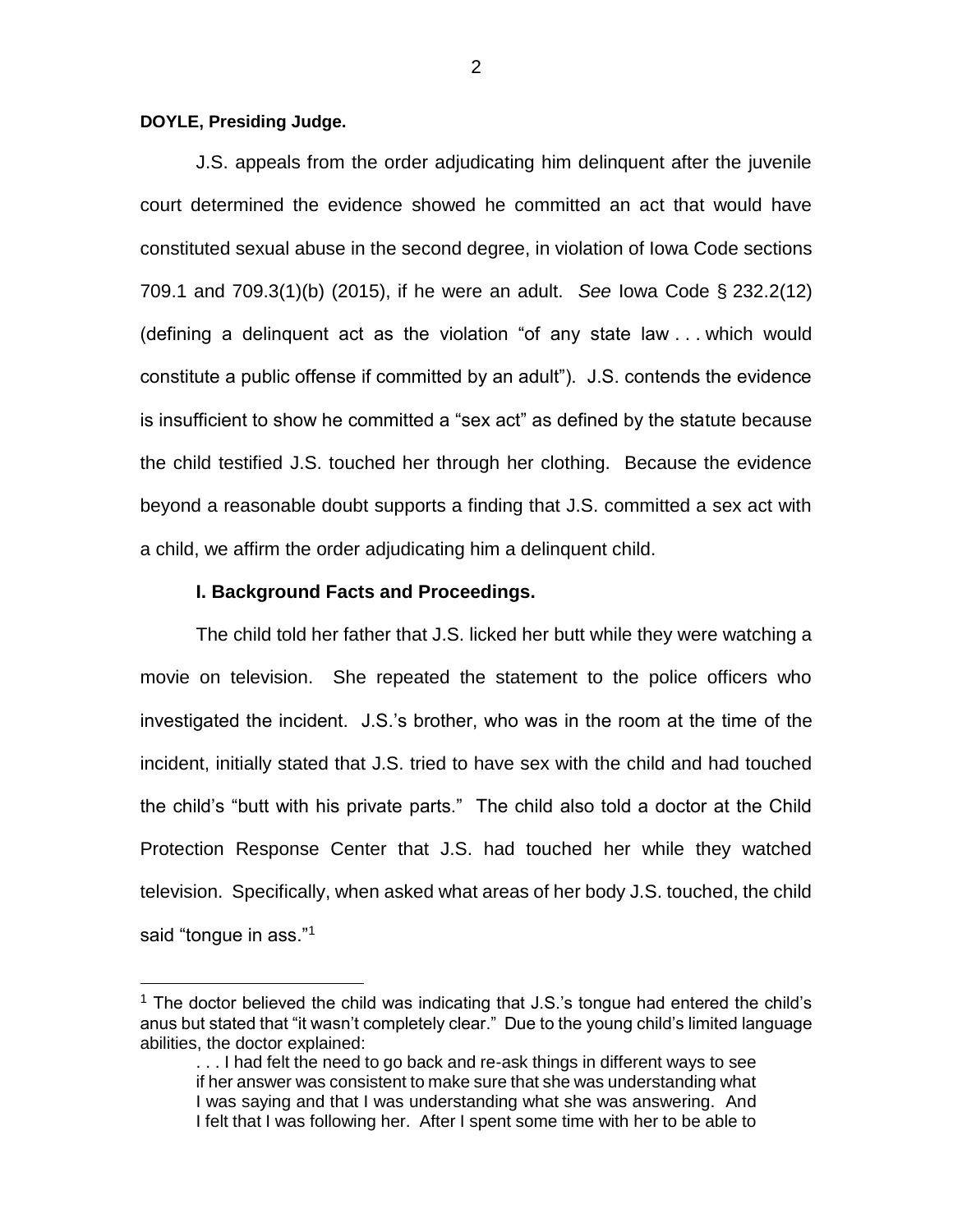## **DOYLE, Presiding Judge.**

 $\overline{a}$ 

J.S. appeals from the order adjudicating him delinquent after the juvenile court determined the evidence showed he committed an act that would have constituted sexual abuse in the second degree, in violation of Iowa Code sections 709.1 and 709.3(1)(b) (2015), if he were an adult. *See* Iowa Code § 232.2(12) (defining a delinquent act as the violation "of any state law . . . which would constitute a public offense if committed by an adult"). J.S. contends the evidence is insufficient to show he committed a "sex act" as defined by the statute because the child testified J.S. touched her through her clothing. Because the evidence beyond a reasonable doubt supports a finding that J.S. committed a sex act with a child, we affirm the order adjudicating him a delinquent child.

#### **I. Background Facts and Proceedings.**

The child told her father that J.S. licked her butt while they were watching a movie on television. She repeated the statement to the police officers who investigated the incident. J.S.'s brother, who was in the room at the time of the incident, initially stated that J.S. tried to have sex with the child and had touched the child's "butt with his private parts." The child also told a doctor at the Child Protection Response Center that J.S. had touched her while they watched television. Specifically, when asked what areas of her body J.S. touched, the child said "tongue in ass."<sup>1</sup>

<sup>&</sup>lt;sup>1</sup> The doctor believed the child was indicating that  $J.S.'s$  tongue had entered the child's anus but stated that "it wasn't completely clear." Due to the young child's limited language abilities, the doctor explained:

<sup>...</sup> I had felt the need to go back and re-ask things in different ways to see if her answer was consistent to make sure that she was understanding what I was saying and that I was understanding what she was answering. And I felt that I was following her. After I spent some time with her to be able to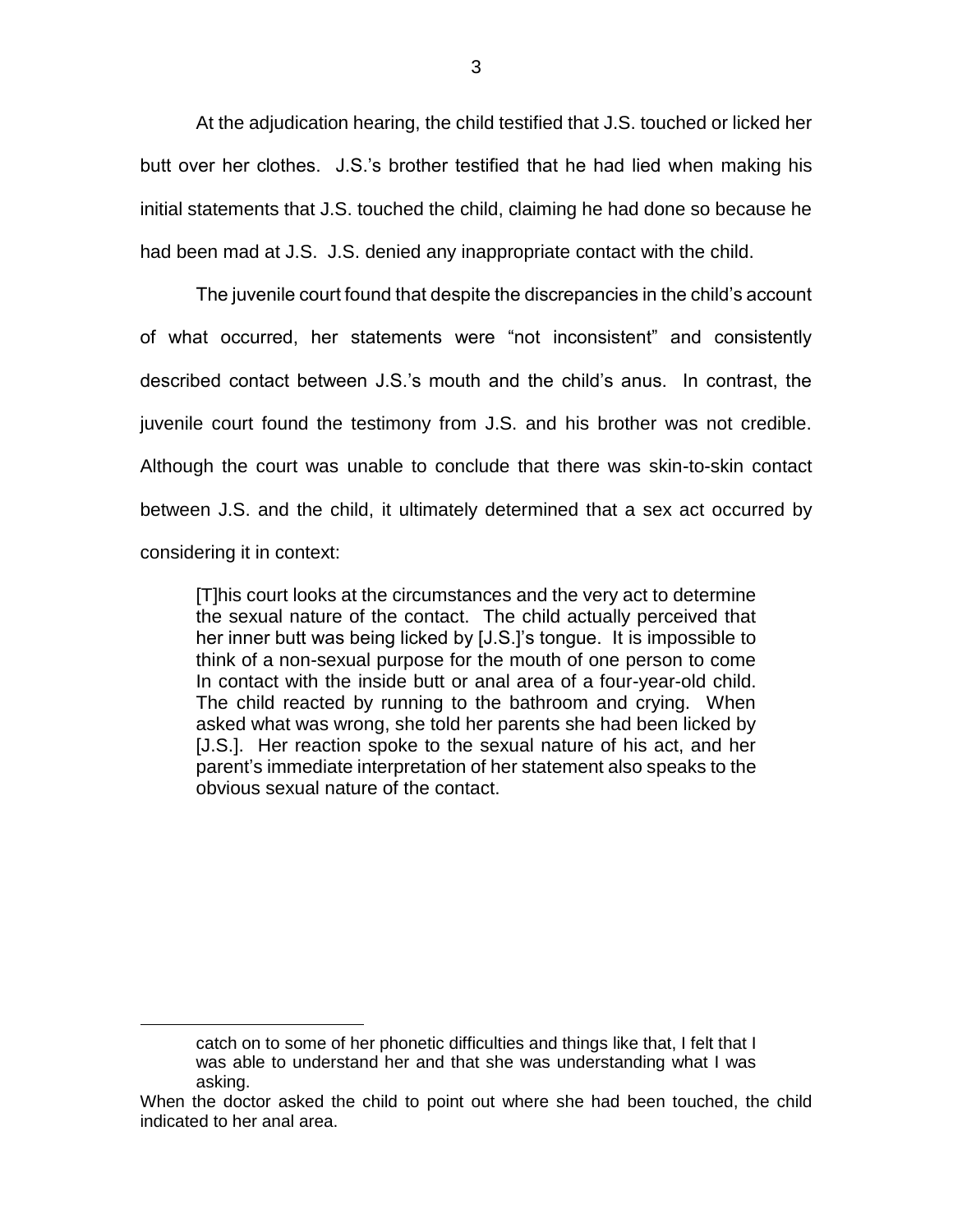At the adjudication hearing, the child testified that J.S. touched or licked her butt over her clothes. J.S.'s brother testified that he had lied when making his initial statements that J.S. touched the child, claiming he had done so because he had been mad at J.S. J.S. denied any inappropriate contact with the child.

The juvenile court found that despite the discrepancies in the child's account of what occurred, her statements were "not inconsistent" and consistently described contact between J.S.'s mouth and the child's anus. In contrast, the juvenile court found the testimony from J.S. and his brother was not credible. Although the court was unable to conclude that there was skin-to-skin contact between J.S. and the child, it ultimately determined that a sex act occurred by considering it in context:

[T]his court looks at the circumstances and the very act to determine the sexual nature of the contact. The child actually perceived that her inner butt was being licked by [J.S.]'s tongue. It is impossible to think of a non-sexual purpose for the mouth of one person to come In contact with the inside butt or anal area of a four-year-old child. The child reacted by running to the bathroom and crying. When asked what was wrong, she told her parents she had been licked by [J.S.]. Her reaction spoke to the sexual nature of his act, and her parent's immediate interpretation of her statement also speaks to the obvious sexual nature of the contact.

 $\overline{a}$ 

catch on to some of her phonetic difficulties and things like that, I felt that I was able to understand her and that she was understanding what I was asking.

When the doctor asked the child to point out where she had been touched, the child indicated to her anal area.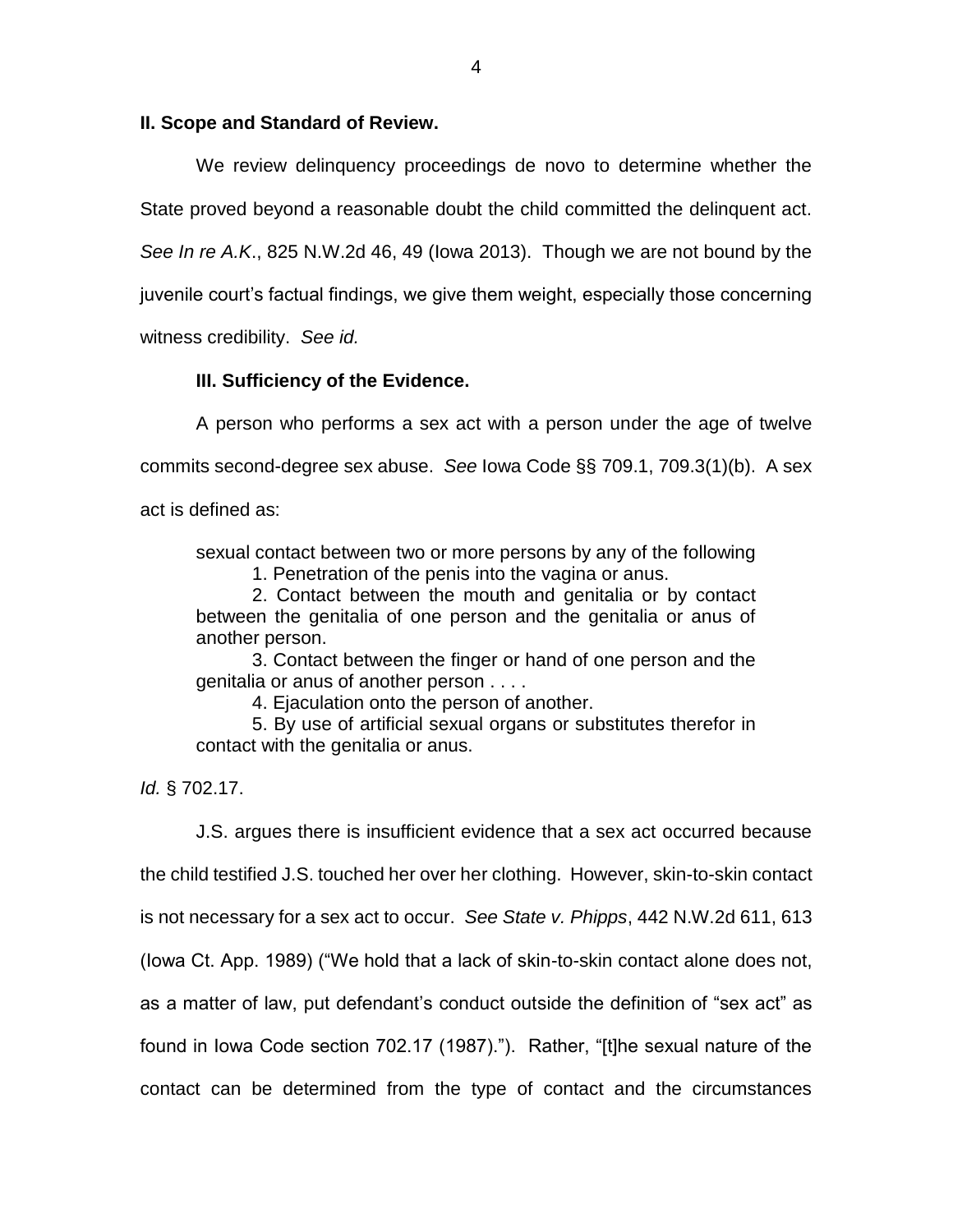## **II. Scope and Standard of Review.**

We review delinquency proceedings de novo to determine whether the State proved beyond a reasonable doubt the child committed the delinquent act. *See In re A.K*., 825 N.W.2d 46, 49 (Iowa 2013). Though we are not bound by the juvenile court's factual findings, we give them weight, especially those concerning witness credibility. *See id.*

## **III. Sufficiency of the Evidence.**

A person who performs a sex act with a person under the age of twelve commits second-degree sex abuse. *See* Iowa Code §§ 709.1, 709.3(1)(b). A sex act is defined as:

sexual contact between two or more persons by any of the following

1. Penetration of the penis into the vagina or anus.

2. Contact between the mouth and genitalia or by contact between the genitalia of one person and the genitalia or anus of another person.

3. Contact between the finger or hand of one person and the genitalia or anus of another person . . . .

4. Ejaculation onto the person of another.

5. By use of artificial sexual organs or substitutes therefor in contact with the genitalia or anus.

*Id.* § 702.17.

J.S. argues there is insufficient evidence that a sex act occurred because the child testified J.S. touched her over her clothing. However, skin-to-skin contact is not necessary for a sex act to occur. *See State v. Phipps*, 442 N.W.2d 611, 613 (Iowa Ct. App. 1989) ("We hold that a lack of skin-to-skin contact alone does not, as a matter of law, put defendant's conduct outside the definition of "sex act" as found in Iowa Code section 702.17 (1987)."). Rather, "[t]he sexual nature of the contact can be determined from the type of contact and the circumstances